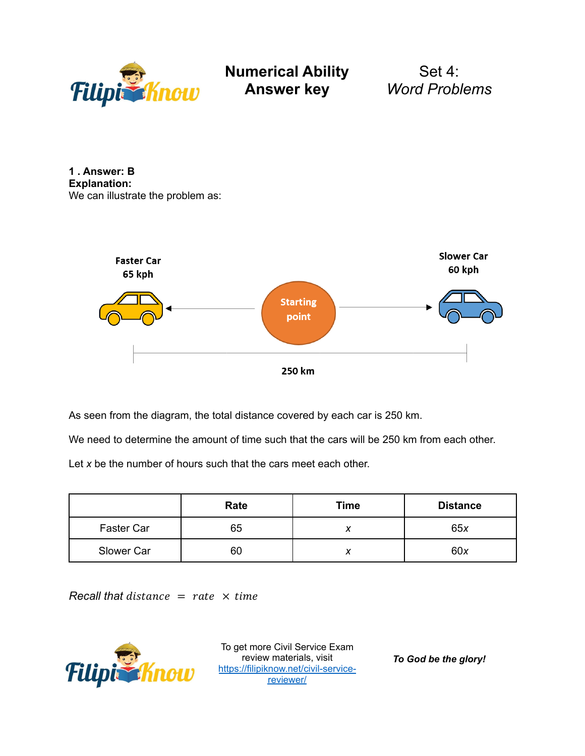

Set 4: *Word Problems*

**1 . Answer: B Explanation:** We can illustrate the problem as:



As seen from the diagram, the total distance covered by each car is 250 km.

We need to determine the amount of time such that the cars will be 250 km from each other.

Let *x* be the number of hours such that the cars meet each other.

|            | Rate | <b>Time</b> | <b>Distance</b> |
|------------|------|-------------|-----------------|
| Faster Car | 65   | $\lambda$   | 65x             |
| Slower Car | 60   | ↗           | 60x             |

 $Recall that distance = rate \times time$ 



To get more Civil Service Exam review materials, visit [https://filipiknow.net/civil-service](https://filipiknow.net/civil-service-reviewer/)[reviewer/](https://filipiknow.net/civil-service-reviewer/)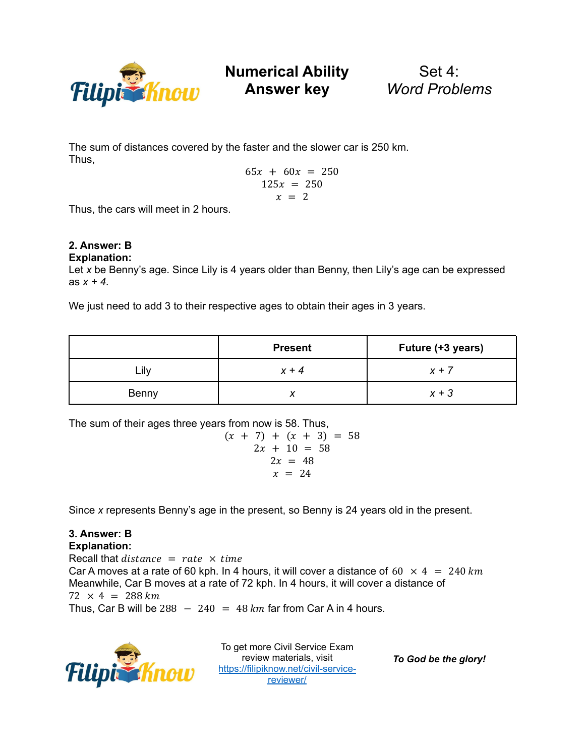

Set 4: *Word Problems*

The sum of distances covered by the faster and the slower car is 250 km. Thus,

$$
65x + 60x = 250
$$
  

$$
125x = 250
$$
  

$$
x = 2
$$

Thus, the cars will meet in 2 hours.

#### **2. Answer: B Explanation:**

Let *x* be Benny's age. Since Lily is 4 years older than Benny, then Lily's age can be expressed as  $x + 4$ .

We just need to add 3 to their respective ages to obtain their ages in 3 years.

|       | <b>Present</b> | Future (+3 years) |
|-------|----------------|-------------------|
| Lily  | $x + 4$        | $x + 7$           |
| Benny |                | $x + 3$           |

The sum of their ages three years from now is 58. Thus,

$$
(x + 7) + (x + 3) = 58
$$
  
2x + 10 = 58  
2x = 48  
 $x = 24$ 

Since *x* represents Benny's age in the present, so Benny is 24 years old in the present.

## **3. Answer: B Explanation:**

Recall that  $distance = rate \times time$ Car A moves at a rate of 60 kph. In 4 hours, it will cover a distance of 60  $\times$  4 = 240 km Meanwhile, Car B moves at a rate of 72 kph. In 4 hours, it will cover a distance of  $72 \times 4 = 288 \, \text{km}$ Thus, Car B will be  $288 - 240 = 48$  km far from Car A in 4 hours.



To get more Civil Service Exam review materials, visit [https://filipiknow.net/civil-service](https://filipiknow.net/civil-service-reviewer/)[reviewer/](https://filipiknow.net/civil-service-reviewer/)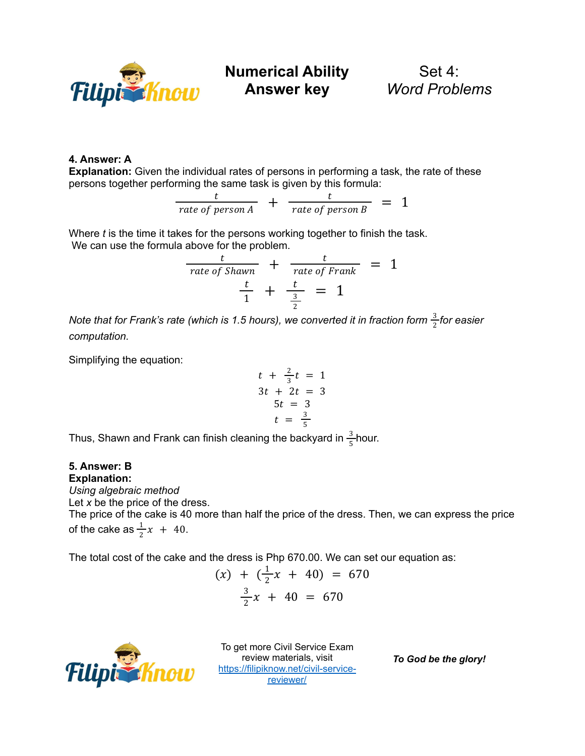

Set 4: *Word Problems*

# **4. Answer: A**

**Explanation:** Given the individual rates of persons in performing a task, the rate of these persons together performing the same task is given by this formula:

$$
\frac{t}{rate\ of\ person\ A} + \frac{t}{rate\ of\ person\ B} = 1
$$

Where *t* is the time it takes for the persons working together to finish the task. We can use the formula above for the problem.

$$
\frac{t}{rate \text{ of } Shawn} + \frac{t}{rate \text{ of } Frank} = 1
$$
\n
$$
\frac{t}{1} + \frac{t}{\frac{3}{2}} = 1
$$

*Note that for Frank's rate (which is 1.5 hours), we converted it in fraction form for easier* 3 2 *computation.*

Simplifying the equation:

$$
t + \frac{2}{3}t = 1
$$
  
\n
$$
3t + 2t = 3
$$
  
\n
$$
5t = 3
$$
  
\n
$$
t = \frac{3}{5}
$$

Thus, Shawn and Frank can finish cleaning the backyard in  $\frac{3}{5}$ hour. 5

## **5. Answer: B Explanation:**

*Using algebraic method*

Let *x* be the price of the dress.

The price of the cake is 40 more than half the price of the dress. Then, we can express the price of the cake as  $\frac{1}{2}x + 40$ .  $\frac{1}{2}x + 40$ .

The total cost of the cake and the dress is Php 670.00. We can set our equation as:

$$
(x) + (\frac{1}{2}x + 40) = 670
$$
  

$$
\frac{3}{2}x + 40 = 670
$$



To get more Civil Service Exam review materials, visit [https://filipiknow.net/civil-service](https://filipiknow.net/civil-service-reviewer/)[reviewer/](https://filipiknow.net/civil-service-reviewer/)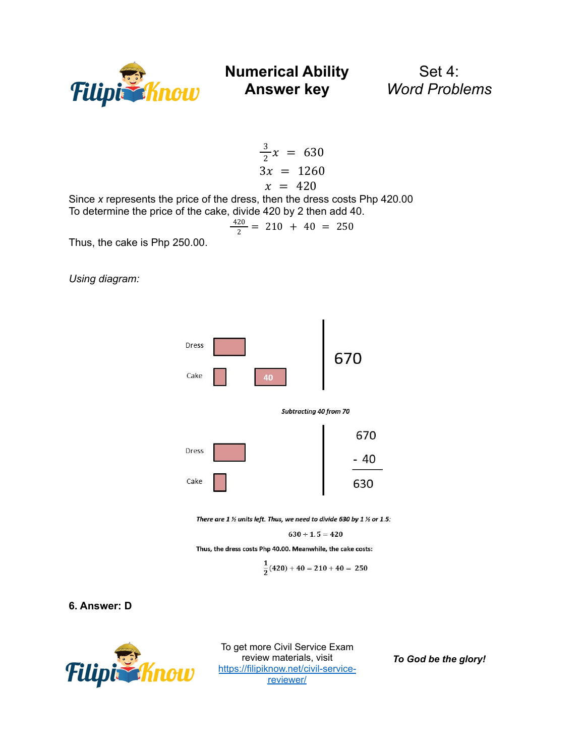

Set 4: *Word Problems*

$$
\frac{3}{2}x = 630
$$
  
3x = 1260  

$$
x = 420
$$

Since *x* represents the price of the dress, then the dress costs Php 420.00 To determine the price of the cake, divide 420 by 2 then add 40.

$$
\frac{420}{2} = 210 + 40 = 250
$$

Thus, the cake is Php 250.00.

*Using diagram:*



There are  $1$  % units left. Thus, we need to divide 630 by  $1$  % or 1.5:

$$
630 \div 1.5 = 420
$$

Thus, the dress costs Php 40.00. Meanwhile, the cake costs:

$$
\frac{1}{2}(420) + 40 = 210 + 40 = 250
$$

## **6. Answer: D**



To get more Civil Service Exam review materials, visit [https://filipiknow.net/civil-service](https://filipiknow.net/civil-service-reviewer/)[reviewer/](https://filipiknow.net/civil-service-reviewer/)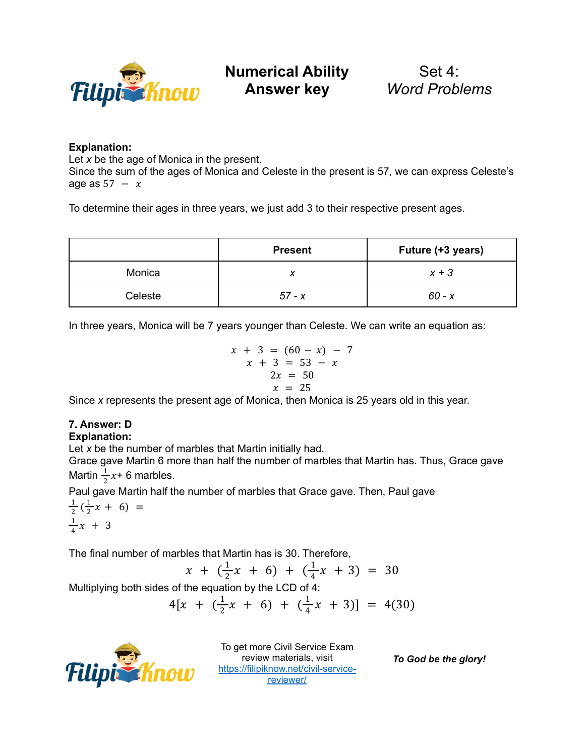

Set 4: *Word Problems*

# **Explanation:**

Let *x* be the age of Monica in the present.

Since the sum of the ages of Monica and Celeste in the present is 57, we can express Celeste's age as  $57 - x$ 

To determine their ages in three years, we just add 3 to their respective present ages.

|         | <b>Present</b> | Future (+3 years) |
|---------|----------------|-------------------|
| Monica  |                | $x + 3$           |
| Celeste | $57 - x$       | $60 - x$          |

In three years, Monica will be 7 years younger than Celeste. We can write an equation as:

$$
x + 3 = (60 - x) - 7
$$
  
\n
$$
x + 3 = 53 - x
$$
  
\n
$$
2x = 50
$$
  
\n
$$
x = 25
$$

Since *x* represents the present age of Monica, then Monica is 25 years old in this year.

# **7. Answer: D**

## **Explanation:**

Let *x* be the number of marbles that Martin initially had.

Grace gave Martin 6 more than half the number of marbles that Martin has. Thus, Grace gave Martin  $\frac{1}{2}x+6$  marbles.  $rac{1}{2}x$ 

Paul gave Martin half the number of marbles that Grace gave. Then, Paul gave

1  $\frac{1}{2}(\frac{1}{2})$  $\frac{1}{2}x + 6 = 0$ 1  $\frac{1}{4}x + 3$ 

The final number of marbles that Martin has is 30. Therefore,

$$
x + (\frac{1}{2}x + 6) + (\frac{1}{4}x + 3) = 30
$$

Multiplying both sides of the equation by the LCD of 
$$
4
$$
:

$$
4[x + (\frac{1}{2}x + 6) + (\frac{1}{4}x + 3)] = 4(30)
$$



To get more Civil Service Exam review materials, visit [https://filipiknow.net/civil-service](https://filipiknow.net/civil-service-reviewer/)[reviewer/](https://filipiknow.net/civil-service-reviewer/)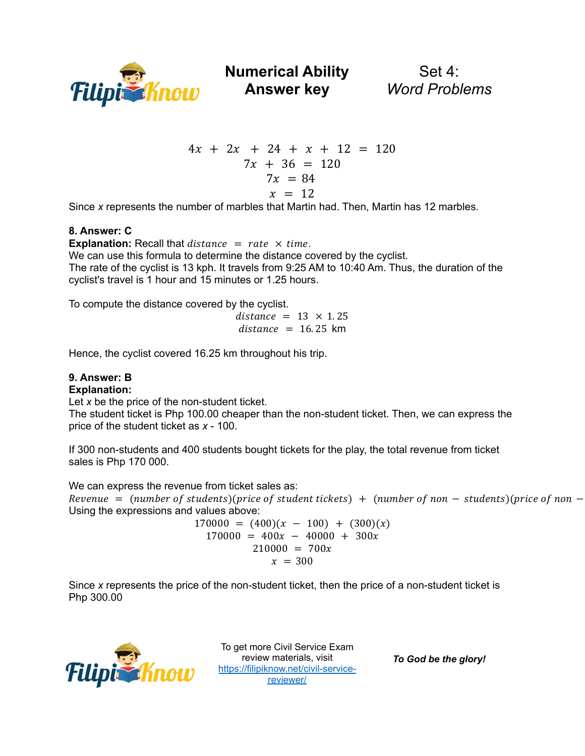

**Numerical Ability**

Set 4: *Word Problems*

$$
4x + 2x + 24 + x + 12 = 120
$$
  
7x + 36 = 120  
7x = 84  

$$
x = 12
$$

Since *x* represents the number of marbles that Martin had. Then, Martin has 12 marbles.

## **8. Answer: C**

**Explanation:** Recall that  $distance = rate \times time$ . We can use this formula to determine the distance covered by the cyclist. The rate of the cyclist is 13 kph. It travels from 9:25 AM to 10:40 Am. Thus, the duration of the cyclist's travel is 1 hour and 15 minutes or 1.25 hours.

To compute the distance covered by the cyclist.

 $distance = 13 \times 1.25$  $distance = 16.25$  km

Hence, the cyclist covered 16.25 km throughout his trip.

# **9. Answer: B**

## **Explanation:**

Let *x* be the price of the non-student ticket.

The student ticket is Php 100.00 cheaper than the non-student ticket. Then, we can express the price of the student ticket as *x* - 100.

If 300 non-students and 400 students bought tickets for the play, the total revenue from ticket sales is Php 170 000.

We can express the revenue from ticket sales as: Revenue = (number of students)(price of student tickets) + (number of non – students)(price of non – Using the expressions and values above:

> $170000 = (400)(x - 100) + (300)(x)$  $170000 = 400x - 40000 + 300x$  $210000 = 700x$  $x = 300$

Since *x* represents the price of the non-student ticket, then the price of a non-student ticket is Php 300.00



To get more Civil Service Exam review materials, visit [https://filipiknow.net/civil-service](https://filipiknow.net/civil-service-reviewer/)[reviewer/](https://filipiknow.net/civil-service-reviewer/)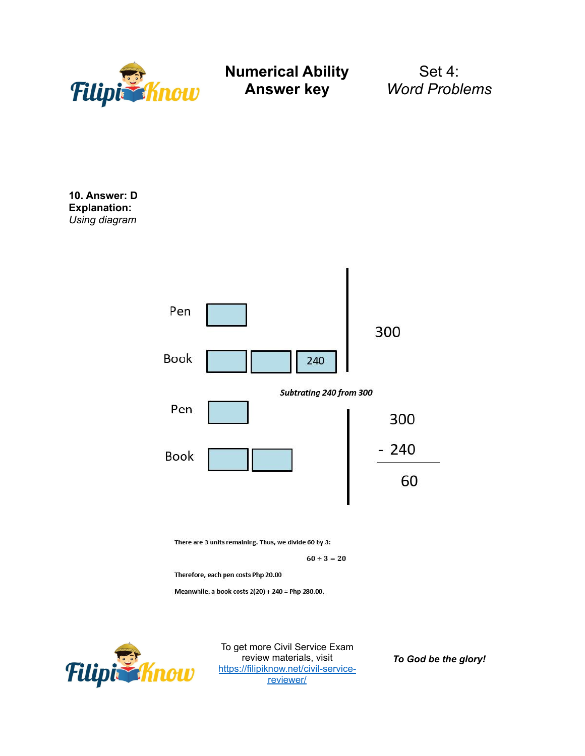

Set 4: *Word Problems*

**10. Answer: D Explanation:** *Using diagram*



Meanwhile, a book costs 2(20) + 240 = Php 280.00.



To get more Civil Service Exam review materials, visit [https://filipiknow.net/civil-service](https://filipiknow.net/civil-service-reviewer/)[reviewer/](https://filipiknow.net/civil-service-reviewer/)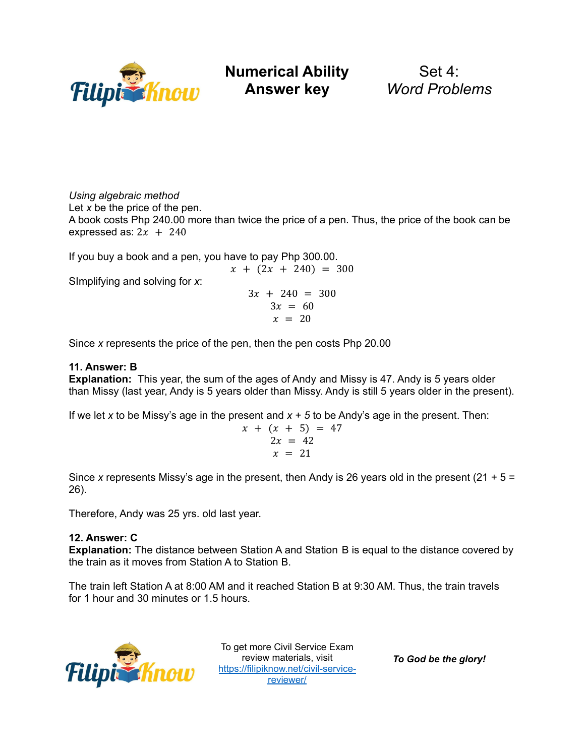

**Numerical Ability**

Set 4: *Word Problems*

*Using algebraic method*

Let *x* be the price of the pen.

A book costs Php 240.00 more than twice the price of a pen. Thus, the price of the book can be expressed as:  $2x + 240$ 

If you buy a book and a pen, you have to pay Php 300.00.

 $x + (2x + 240) = 300$ SImplifying and solving for *x*:  $3x + 240 = 300$  $3x = 60$  $x = 20$ 

Since *x* represents the price of the pen, then the pen costs Php 20.00

# **11. Answer: B**

**Explanation:** This year, the sum of the ages of Andy and Missy is 47. Andy is 5 years older than Missy (last year, Andy is 5 years older than Missy. Andy is still 5 years older in the present).

If we let *x* to be Missy's age in the present and *x + 5* to be Andy's age in the present. Then:

$$
x + (x + 5) = 47
$$
  
 
$$
2x = 42
$$
  
 
$$
x = 21
$$

Since *x* represents Missy's age in the present, then Andy is 26 years old in the present (21 + 5 = 26).

Therefore, Andy was 25 yrs. old last year.

# **12. Answer: C**

**Explanation:** The distance between Station A and Station B is equal to the distance covered by the train as it moves from Station A to Station B.

The train left Station A at 8:00 AM and it reached Station B at 9:30 AM. Thus, the train travels for 1 hour and 30 minutes or 1.5 hours.



To get more Civil Service Exam review materials, visit [https://filipiknow.net/civil-service](https://filipiknow.net/civil-service-reviewer/)[reviewer/](https://filipiknow.net/civil-service-reviewer/)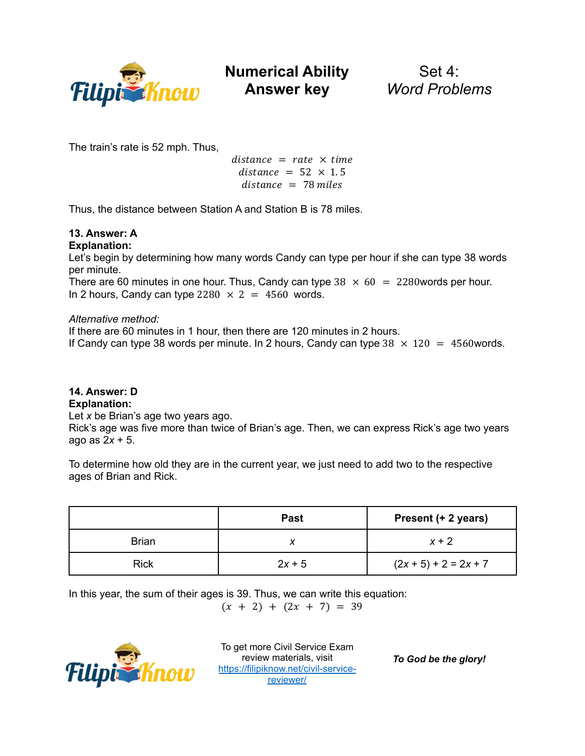

Set 4: *Word Problems*

The train's rate is 52 mph. Thus,

 $distance = rate \times time$  $distance = 52 \times 1.5$  $distance = 78$  miles

Thus, the distance between Station A and Station B is 78 miles.

## **13. Answer: A Explanation:**

Let's begin by determining how many words Candy can type per hour if she can type 38 words per minute.

There are 60 minutes in one hour. Thus, Candy can type  $38 \times 60 = 2280$  words per hour. In 2 hours, Candy can type  $2280 \times 2 = 4560$  words.

# *Alternative method:*

If there are 60 minutes in 1 hour, then there are 120 minutes in 2 hours.

If Candy can type 38 words per minute. In 2 hours, Candy can type  $38 \times 120 = 4560$  words.

# **14. Answer: D**

# **Explanation:**

Let *x* be Brian's age two years ago.

Rick's age was five more than twice of Brian's age. Then, we can express Rick's age two years ago as 2*x* + 5.

To determine how old they are in the current year, we just need to add two to the respective ages of Brian and Rick.

|              | <b>Past</b> | Present (+ 2 years)     |
|--------------|-------------|-------------------------|
| <b>Brian</b> |             | $x + 2$                 |
| <b>Rick</b>  | $2x + 5$    | $(2x + 5) + 2 = 2x + 7$ |

In this year, the sum of their ages is 39. Thus, we can write this equation:

 $(x + 2) + (2x + 7) = 39$ 



To get more Civil Service Exam review materials, visit [https://filipiknow.net/civil-service](https://filipiknow.net/civil-service-reviewer/)[reviewer/](https://filipiknow.net/civil-service-reviewer/)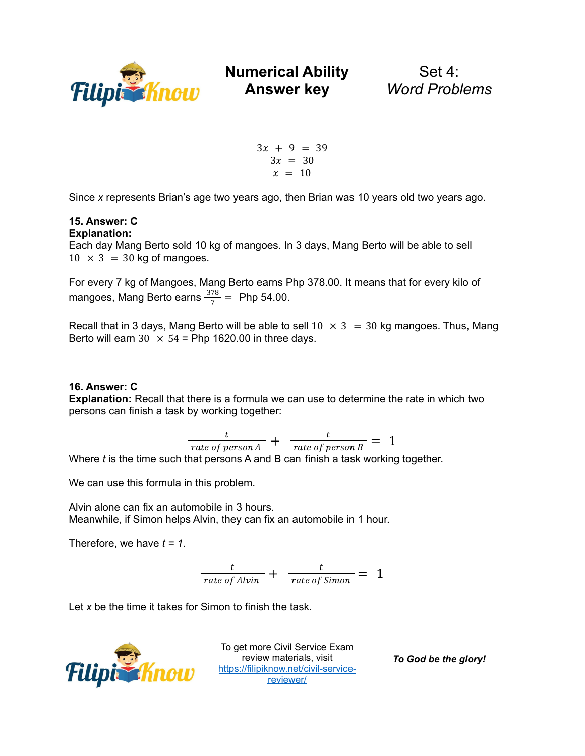

**Answer key**

Set 4: *Word Problems*

 $3x + 9 = 39$  $3x = 30$  $x = 10$ 

Since *x* represents Brian's age two years ago, then Brian was 10 years old two years ago.

#### **15. Answer: C Explanation:**

Each day Mang Berto sold 10 kg of mangoes. In 3 days, Mang Berto will be able to sell  $10 \times 3 = 30$  kg of mangoes.

For every 7 kg of Mangoes, Mang Berto earns Php 378.00. It means that for every kilo of mangoes, Mang Berto earns  $\frac{378}{7}$  = Php 54.00.

Recall that in 3 days, Mang Berto will be able to sell  $10 \times 3 = 30$  kg mangoes. Thus, Mang Berto will earn  $30 \times 54$  = Php 1620.00 in three days.

## **16. Answer: C**

**Explanation:** Recall that there is a formula we can use to determine the rate in which two persons can finish a task by working together:

$$
\frac{t}{rate\ of\ person\ A} + \frac{t}{rate\ of\ person\ B} = 1
$$

Where *t* is the time such that persons A and B can finish a task working together.

We can use this formula in this problem.

Alvin alone can fix an automobile in 3 hours. Meanwhile, if Simon helps Alvin, they can fix an automobile in 1 hour.

Therefore, we have  $t = 1$ .

$$
\frac{t}{rate\ of\ Alvin} + \frac{t}{rate\ of\ Simon} = 1
$$

Let *x* be the time it takes for Simon to finish the task.



To get more Civil Service Exam review materials, visit [https://filipiknow.net/civil-service](https://filipiknow.net/civil-service-reviewer/)[reviewer/](https://filipiknow.net/civil-service-reviewer/)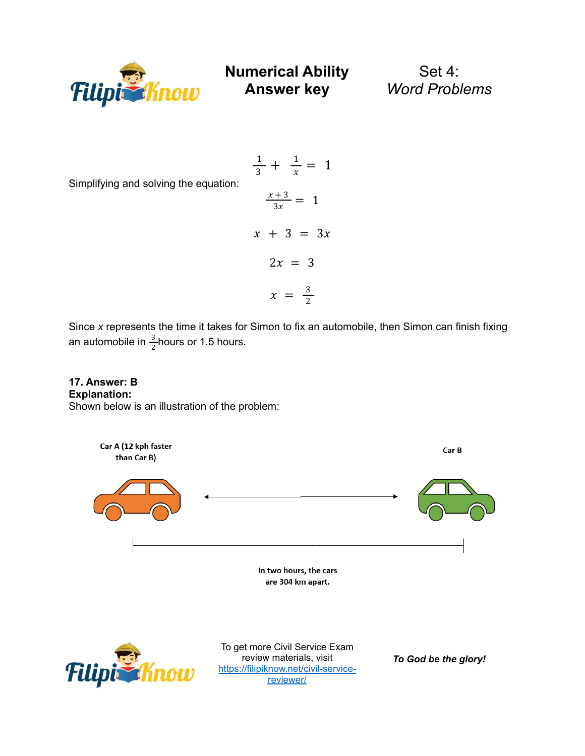

Set 4: *Word Problems*

Simplifying and solving the equation:

$$
\frac{1}{3} + \frac{1}{x} = 1
$$
  

$$
\frac{x+3}{3x} = 1
$$
  

$$
x + 3 = 3x
$$
  

$$
2x = 3
$$
  

$$
x = \frac{3}{2}
$$

Since *x* represents the time it takes for Simon to fix an automobile, then Simon can finish fixing an automobile in  $\frac{3}{2}$  hours or 1.5 hours. 2

## **17. Answer: B Explanation:** Shown below is an illustration of the problem:

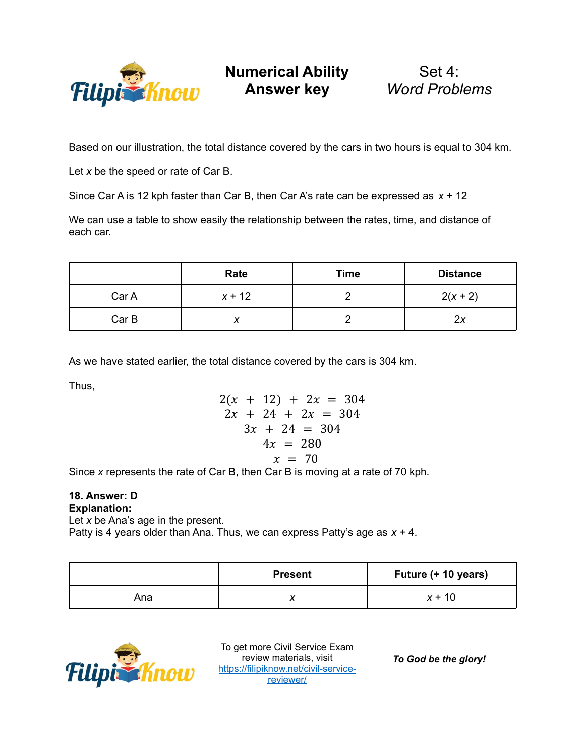

Set 4: *Word Problems*

Based on our illustration, the total distance covered by the cars in two hours is equal to 304 km.

Let *x* be the speed or rate of Car B.

Since Car A is 12 kph faster than Car B, then Car A's rate can be expressed as *x* + 12

We can use a table to show easily the relationship between the rates, time, and distance of each car.

|       | Rate     | <b>Time</b> | <b>Distance</b> |
|-------|----------|-------------|-----------------|
| Car A | $x + 12$ |             | $2(x + 2)$      |
| Car B | Λ        |             | 2x              |

As we have stated earlier, the total distance covered by the cars is 304 km.

Thus,

$$
2(x + 12) + 2x = 304
$$
  
\n
$$
2x + 24 + 2x = 304
$$
  
\n
$$
3x + 24 = 304
$$
  
\n
$$
4x = 280
$$
  
\n
$$
x = 70
$$

Since *x* represents the rate of Car B, then Car B is moving at a rate of 70 kph.

## **18. Answer: D Explanation:**

Let *x* be Ana's age in the present.

Patty is 4 years older than Ana. Thus, we can express Patty's age as *x* + 4.

|     | <b>Present</b> | Future (+ 10 years) |
|-----|----------------|---------------------|
| Ana |                | $x + 10$            |



To get more Civil Service Exam review materials, visit [https://filipiknow.net/civil-service](https://filipiknow.net/civil-service-reviewer/)[reviewer/](https://filipiknow.net/civil-service-reviewer/)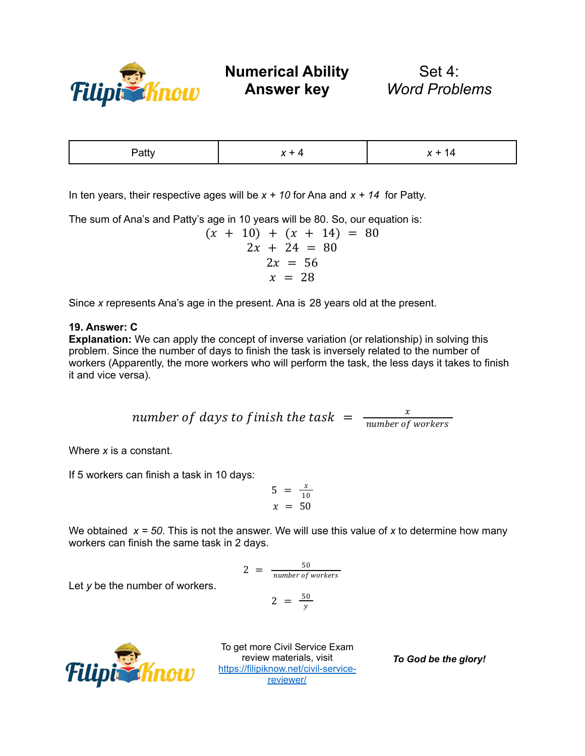

Set 4: *Word Problems*

| $\sim$ |  |
|--------|--|
|        |  |

In ten years, their respective ages will be *x + 10* for Ana and *x + 14* for Patty.

The sum of Ana's and Patty's age in 10 years will be 80. So, our equation is:

$$
(x + 10) + (x + 14) = 80
$$
  
2x + 24 = 80  
2x = 56  
 $x = 28$ 

Since *x* represents Ana's age in the present. Ana is 28 years old at the present.

## **19. Answer: C**

**Explanation:** We can apply the concept of inverse variation (or relationship) in solving this problem. Since the number of days to finish the task is inversely related to the number of workers (Apparently, the more workers who will perform the task, the less days it takes to finish it and vice versa).

> number of days to finish the task  $= \frac{x}{number \text{ of } x}$ number of workers

Where *x* is a constant.

If 5 workers can finish a task in 10 days:

$$
5 = \frac{x}{10}
$$
  

$$
x = 50
$$

We obtained  $x = 50$ . This is not the answer. We will use this value of x to determine how many workers can finish the same task in 2 days.

$$
2 = \frac{50}{number \ of \ workers}
$$

$$
2 = \frac{50}{y}
$$



Let *y* be the number of workers.

To get more Civil Service Exam review materials, visit [https://filipiknow.net/civil-service](https://filipiknow.net/civil-service-reviewer/)[reviewer/](https://filipiknow.net/civil-service-reviewer/)